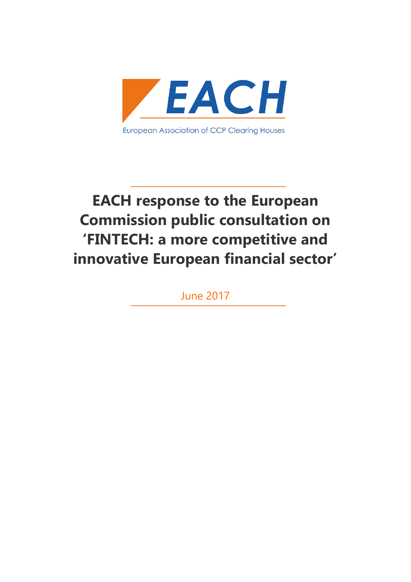

# **EACH response to the European Commission public consultation on 'FINTECH: a more competitive and innovative European financial sector'**

June 2017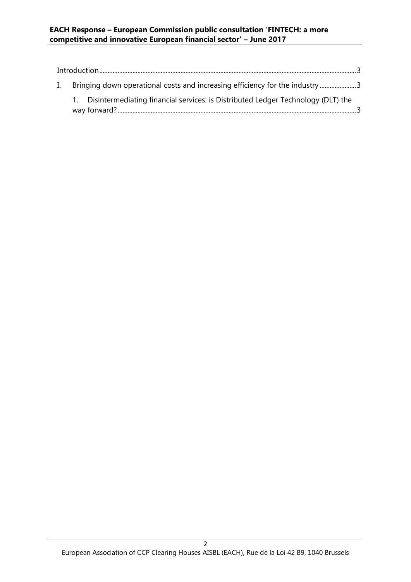#### **EACH Response – European Commission public consultation 'FINTECH: a more competitive and innovative European financial sector' – June 2017**

| L. | Bringing down operational costs and increasing efficiency for the industry3      |  |
|----|----------------------------------------------------------------------------------|--|
|    | Disintermediating financial services: is Distributed Ledger Technology (DLT) the |  |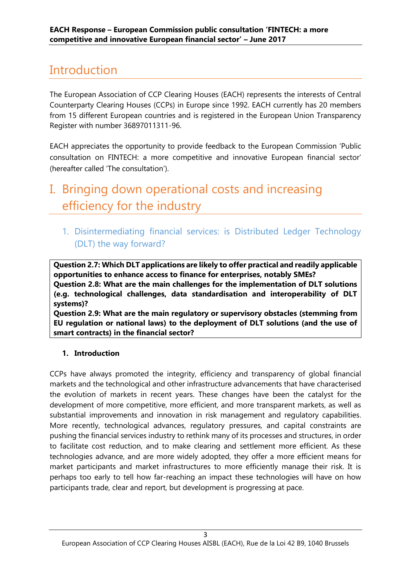### <span id="page-2-0"></span>Introduction

The European Association of CCP Clearing Houses (EACH) represents the interests of Central Counterparty Clearing Houses (CCPs) in Europe since 1992. EACH currently has 20 members from 15 different European countries and is registered in the European Union Transparency Register with number 36897011311-96.

EACH appreciates the opportunity to provide feedback to the European Commission 'Public consultation on FINTECH: a more competitive and innovative European financial sector' (hereafter called 'The consultation').

## <span id="page-2-1"></span>I. Bringing down operational costs and increasing efficiency for the industry

<span id="page-2-2"></span>1. Disintermediating financial services: is Distributed Ledger Technology (DLT) the way forward?

**Question 2.7: Which DLT applications are likely to offer practical and readily applicable opportunities to enhance access to finance for enterprises, notably SMEs? Question 2.8: What are the main challenges for the implementation of DLT solutions (e.g. technological challenges, data standardisation and interoperability of DLT systems)?** 

**Question 2.9: What are the main regulatory or supervisory obstacles (stemming from EU regulation or national laws) to the deployment of DLT solutions (and the use of smart contracts) in the financial sector?**

### **1. Introduction**

CCPs have always promoted the integrity, efficiency and transparency of global financial markets and the technological and other infrastructure advancements that have characterised the evolution of markets in recent years. These changes have been the catalyst for the development of more competitive, more efficient, and more transparent markets, as well as substantial improvements and innovation in risk management and regulatory capabilities. More recently, technological advances, regulatory pressures, and capital constraints are pushing the financial services industry to rethink many of its processes and structures, in order to facilitate cost reduction, and to make clearing and settlement more efficient. As these technologies advance, and are more widely adopted, they offer a more efficient means for market participants and market infrastructures to more efficiently manage their risk. It is perhaps too early to tell how far-reaching an impact these technologies will have on how participants trade, clear and report, but development is progressing at pace.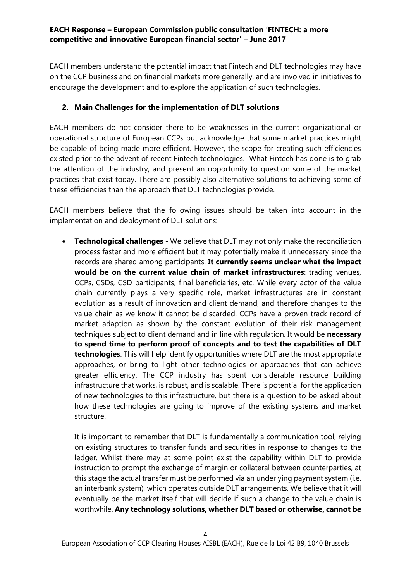EACH members understand the potential impact that Fintech and DLT technologies may have on the CCP business and on financial markets more generally, and are involved in initiatives to encourage the development and to explore the application of such technologies.

### **2. Main Challenges for the implementation of DLT solutions**

EACH members do not consider there to be weaknesses in the current organizational or operational structure of European CCPs but acknowledge that some market practices might be capable of being made more efficient. However, the scope for creating such efficiencies existed prior to the advent of recent Fintech technologies. What Fintech has done is to grab the attention of the industry, and present an opportunity to question some of the market practices that exist today. There are possibly also alternative solutions to achieving some of these efficiencies than the approach that DLT technologies provide.

EACH members believe that the following issues should be taken into account in the implementation and deployment of DLT solutions:

• **Technological challenges** - We believe that DLT may not only make the reconciliation process faster and more efficient but it may potentially make it unnecessary since the records are shared among participants. **It currently seems unclear what the impact would be on the current value chain of market infrastructures**: trading venues, CCPs, CSDs, CSD participants, final beneficiaries, etc. While every actor of the value chain currently plays a very specific role, market infrastructures are in constant evolution as a result of innovation and client demand, and therefore changes to the value chain as we know it cannot be discarded. CCPs have a proven track record of market adaption as shown by the constant evolution of their risk management techniques subject to client demand and in line with regulation. It would be **necessary to spend time to perform proof of concepts and to test the capabilities of DLT technologies**. This will help identify opportunities where DLT are the most appropriate approaches, or bring to light other technologies or approaches that can achieve greater efficiency. The CCP industry has spent considerable resource building infrastructure that works, is robust, and is scalable. There is potential for the application of new technologies to this infrastructure, but there is a question to be asked about how these technologies are going to improve of the existing systems and market structure.

It is important to remember that DLT is fundamentally a communication tool, relying on existing structures to transfer funds and securities in response to changes to the ledger. Whilst there may at some point exist the capability within DLT to provide instruction to prompt the exchange of margin or collateral between counterparties, at this stage the actual transfer must be performed via an underlying payment system (i.e. an interbank system), which operates outside DLT arrangements. We believe that it will eventually be the market itself that will decide if such a change to the value chain is worthwhile. **Any technology solutions, whether DLT based or otherwise, cannot be**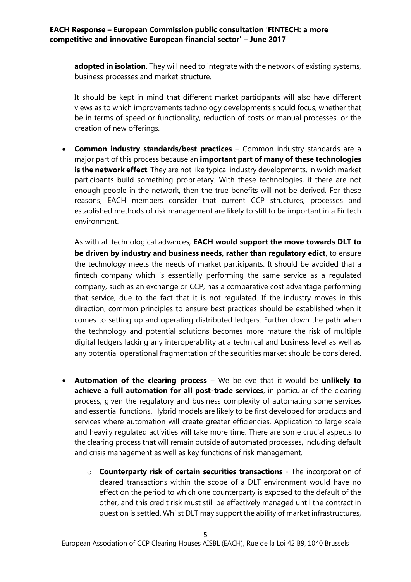**adopted in isolation**. They will need to integrate with the network of existing systems, business processes and market structure.

It should be kept in mind that different market participants will also have different views as to which improvements technology developments should focus, whether that be in terms of speed or functionality, reduction of costs or manual processes, or the creation of new offerings.

• **Common industry standards/best practices** – Common industry standards are a major part of this process because an **important part of many of these technologies is the network effect**. They are not like typical industry developments, in which market participants build something proprietary. With these technologies, if there are not enough people in the network, then the true benefits will not be derived. For these reasons, EACH members consider that current CCP structures, processes and established methods of risk management are likely to still to be important in a Fintech environment.

As with all technological advances, **EACH would support the move towards DLT to be driven by industry and business needs, rather than regulatory edict**, to ensure the technology meets the needs of market participants. It should be avoided that a fintech company which is essentially performing the same service as a regulated company, such as an exchange or CCP, has a comparative cost advantage performing that service, due to the fact that it is not regulated. If the industry moves in this direction, common principles to ensure best practices should be established when it comes to setting up and operating distributed ledgers. Further down the path when the technology and potential solutions becomes more mature the risk of multiple digital ledgers lacking any interoperability at a technical and business level as well as any potential operational fragmentation of the securities market should be considered.

- **Automation of the clearing process** We believe that it would be **unlikely to achieve a full automation for all post-trade services**, in particular of the clearing process, given the regulatory and business complexity of automating some services and essential functions. Hybrid models are likely to be first developed for products and services where automation will create greater efficiencies. Application to large scale and heavily regulated activities will take more time. There are some crucial aspects to the clearing process that will remain outside of automated processes, including default and crisis management as well as key functions of risk management.
	- o **Counterparty risk of certain securities transactions** The incorporation of cleared transactions within the scope of a DLT environment would have no effect on the period to which one counterparty is exposed to the default of the other, and this credit risk must still be effectively managed until the contract in question is settled. Whilst DLT may support the ability of market infrastructures,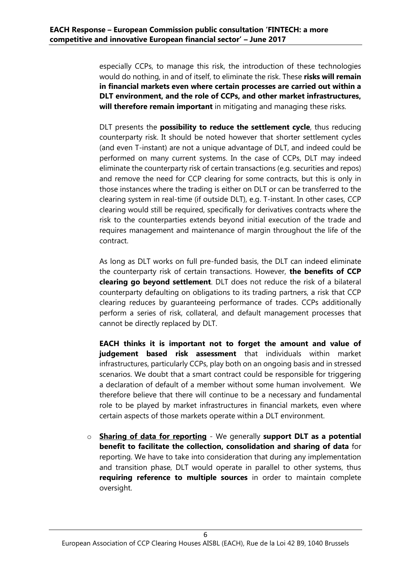especially CCPs, to manage this risk, the introduction of these technologies would do nothing, in and of itself, to eliminate the risk. These **risks will remain in financial markets even where certain processes are carried out within a DLT environment, and the role of CCPs, and other market infrastructures, will therefore remain important** in mitigating and managing these risks.

DLT presents the **possibility to reduce the settlement cycle**, thus reducing counterparty risk. It should be noted however that shorter settlement cycles (and even T-instant) are not a unique advantage of DLT, and indeed could be performed on many current systems. In the case of CCPs, DLT may indeed eliminate the counterparty risk of certain transactions (e.g. securities and repos) and remove the need for CCP clearing for some contracts, but this is only in those instances where the trading is either on DLT or can be transferred to the clearing system in real-time (if outside DLT), e.g. T-instant. In other cases, CCP clearing would still be required, specifically for derivatives contracts where the risk to the counterparties extends beyond initial execution of the trade and requires management and maintenance of margin throughout the life of the contract.

As long as DLT works on full pre-funded basis, the DLT can indeed eliminate the counterparty risk of certain transactions. However, **the benefits of CCP clearing go beyond settlement**. DLT does not reduce the risk of a bilateral counterparty defaulting on obligations to its trading partners, a risk that CCP clearing reduces by guaranteeing performance of trades. CCPs additionally perform a series of risk, collateral, and default management processes that cannot be directly replaced by DLT.

**EACH thinks it is important not to forget the amount and value of judgement based risk assessment** that individuals within market infrastructures, particularly CCPs, play both on an ongoing basis and in stressed scenarios. We doubt that a smart contract could be responsible for triggering a declaration of default of a member without some human involvement. We therefore believe that there will continue to be a necessary and fundamental role to be played by market infrastructures in financial markets, even where certain aspects of those markets operate within a DLT environment.

o **Sharing of data for reporting** - We generally **support DLT as a potential benefit to facilitate the collection, consolidation and sharing of data** for reporting. We have to take into consideration that during any implementation and transition phase, DLT would operate in parallel to other systems, thus **requiring reference to multiple sources** in order to maintain complete oversight.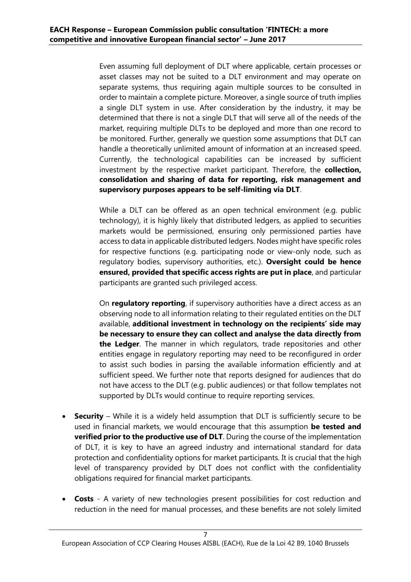Even assuming full deployment of DLT where applicable, certain processes or asset classes may not be suited to a DLT environment and may operate on separate systems, thus requiring again multiple sources to be consulted in order to maintain a complete picture. Moreover, a single source of truth implies a single DLT system in use. After consideration by the industry, it may be determined that there is not a single DLT that will serve all of the needs of the market, requiring multiple DLTs to be deployed and more than one record to be monitored. Further, generally we question some assumptions that DLT can handle a theoretically unlimited amount of information at an increased speed. Currently, the technological capabilities can be increased by sufficient investment by the respective market participant. Therefore, the **collection, consolidation and sharing of data for reporting, risk management and supervisory purposes appears to be self-limiting via DLT**.

While a DLT can be offered as an open technical environment (e.g. public technology), it is highly likely that distributed ledgers, as applied to securities markets would be permissioned, ensuring only permissioned parties have access to data in applicable distributed ledgers. Nodes might have specific roles for respective functions (e.g. participating node or view-only node, such as regulatory bodies, supervisory authorities, etc.). **Oversight could be hence ensured, provided that specific access rights are put in place**, and particular participants are granted such privileged access.

On **regulatory reporting**, if supervisory authorities have a direct access as an observing node to all information relating to their regulated entities on the DLT available, **additional investment in technology on the recipients' side may be necessary to ensure they can collect and analyse the data directly from the Ledger**. The manner in which regulators, trade repositories and other entities engage in regulatory reporting may need to be reconfigured in order to assist such bodies in parsing the available information efficiently and at sufficient speed. We further note that reports designed for audiences that do not have access to the DLT (e.g. public audiences) or that follow templates not supported by DLTs would continue to require reporting services.

- **Security**  While it is a widely held assumption that DLT is sufficiently secure to be used in financial markets, we would encourage that this assumption **be tested and verified prior to the productive use of DLT**. During the course of the implementation of DLT, it is key to have an agreed industry and international standard for data protection and confidentiality options for market participants. It is crucial that the high level of transparency provided by DLT does not conflict with the confidentiality obligations required for financial market participants.
- **Costs**  A variety of new technologies present possibilities for cost reduction and reduction in the need for manual processes, and these benefits are not solely limited